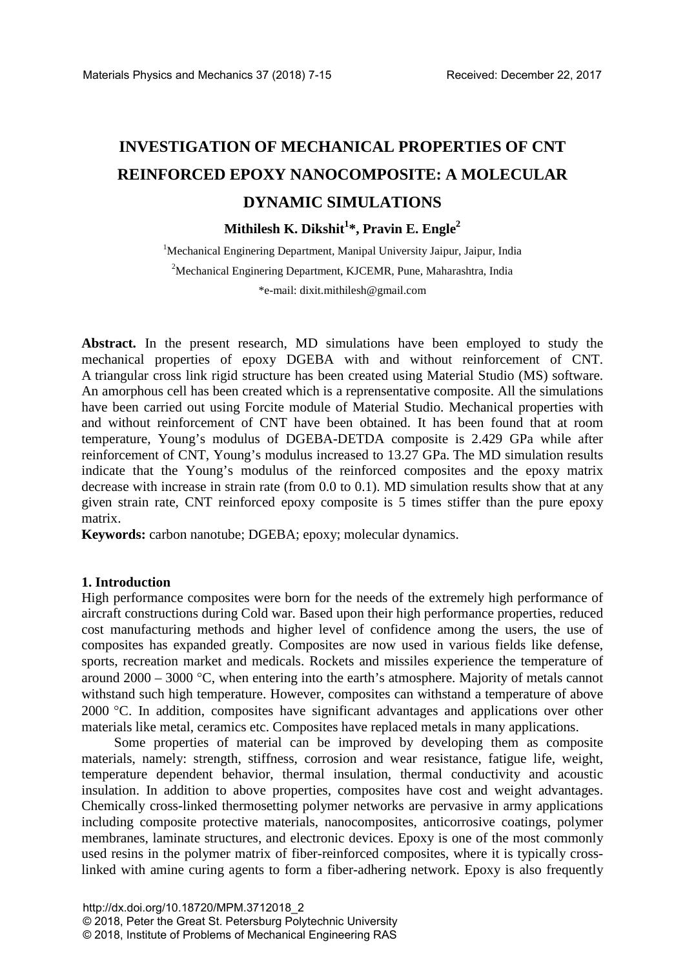# **INVESTIGATION OF MECHANICAL PROPERTIES OF CNT REINFORCED EPOXY NANOCOMPOSITE: A MOLECULAR DYNAMIC SIMULATIONS**

## **Mithilesh K. Dikshit1 \*, Pravin E. Engle2**

<sup>1</sup>Mechanical Enginering Department, Manipal University Jaipur, Jaipur, India <sup>2</sup>Mechanical Enginering Department, KJCEMR, Pune, Maharashtra, India \*e-mail: dixit.mithilesh@gmail.com

**Abstract.** In the present research, MD simulations have been employed to study the mechanical properties of epoxy DGEBA with and without reinforcement of CNT. A triangular cross link rigid structure has been created using Material Studio (MS) software. An amorphous cell has been created which is a reprensentative composite. All the simulations have been carried out using Forcite module of Material Studio. Mechanical properties with and without reinforcement of CNT have been obtained. It has been found that at room temperature, Young's modulus of DGEBA-DETDA composite is 2.429 GPa while after reinforcement of CNT, Young's modulus increased to 13.27 GPa. The MD simulation results indicate that the Young's modulus of the reinforced composites and the epoxy matrix decrease with increase in strain rate (from 0.0 to 0.1). MD simulation results show that at any given strain rate, CNT reinforced epoxy composite is 5 times stiffer than the pure epoxy matrix.

**Keywords:** carbon nanotube; DGEBA; epoxy; molecular dynamics.

#### **1. Introduction**

High performance composites were born for the needs of the extremely high performance of aircraft constructions during Cold war. Based upon their high performance properties, reduced cost manufacturing methods and higher level of confidence among the users, the use of composites has expanded greatly. Composites are now used in various fields like defense, sports, recreation market and medicals. Rockets and missiles experience the temperature of around 2000 – 3000 °C, when entering into the earth's atmosphere. Majority of metals cannot withstand such high temperature. However, composites can withstand a temperature of above 2000 °C. In addition, composites have significant advantages and applications over other materials like metal, ceramics etc. Composites have replaced metals in many applications.

Some properties of material can be improved by developing them as composite materials, namely: strength, stiffness, corrosion and wear resistance, fatigue life, weight, temperature dependent behavior, thermal insulation, thermal conductivity and acoustic insulation. In addition to above properties, composites have cost and weight advantages. Chemically cross-linked thermosetting polymer networks are pervasive in army applications including composite protective materials, nanocomposites, anticorrosive coatings, polymer membranes, laminate structures, and electronic devices. Epoxy is one of the most commonly used resins in the polymer matrix of fiber-reinforced composites, where it is typically crosslinked with amine curing agents to form a fiber-adhering network. Epoxy is also frequently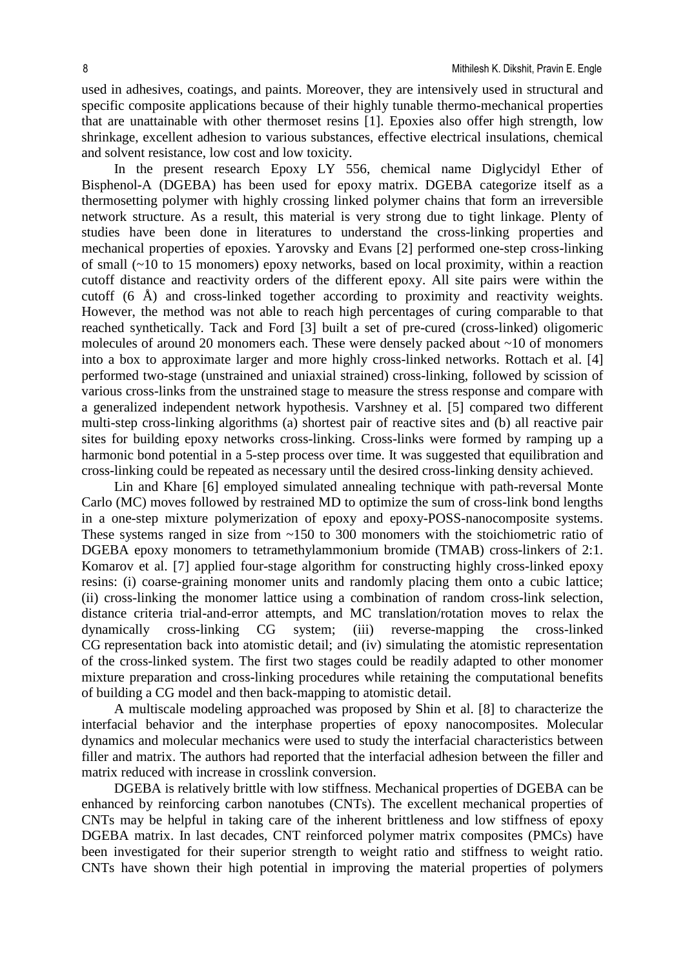used in adhesives, coatings, and paints. Moreover, they are intensively used in structural and specific composite applications because of their highly tunable thermo-mechanical properties that are unattainable with other thermoset resins [1]. Epoxies also offer high strength, low shrinkage, excellent adhesion to various substances, effective electrical insulations, chemical and solvent resistance, low cost and low toxicity.

In the present research Epoxy LY 556, chemical name Diglycidyl Ether of Bisphenol-A (DGEBA) has been used for epoxy matrix. DGEBA categorize itself as a thermosetting polymer with highly crossing linked polymer chains that form an irreversible network structure. As a result, this material is very strong due to tight linkage. Plenty of studies have been done in literatures to understand the cross-linking properties and mechanical properties of epoxies. Yarovsky and Evans [2] performed one-step cross-linking of small (~10 to 15 monomers) epoxy networks, based on local proximity, within a reaction cutoff distance and reactivity orders of the different epoxy. All site pairs were within the cutoff (6 Å) and cross-linked together according to proximity and reactivity weights. However, the method was not able to reach high percentages of curing comparable to that reached synthetically. Tack and Ford [3] built a set of pre-cured (cross-linked) oligomeric molecules of around 20 monomers each. These were densely packed about ~10 of monomers into a box to approximate larger and more highly cross-linked networks. Rottach et al. [4] performed two-stage (unstrained and uniaxial strained) cross-linking, followed by scission of various cross-links from the unstrained stage to measure the stress response and compare with a generalized independent network hypothesis. Varshney et al. [5] compared two different multi-step cross-linking algorithms (a) shortest pair of reactive sites and (b) all reactive pair sites for building epoxy networks cross-linking. Cross-links were formed by ramping up a harmonic bond potential in a 5-step process over time. It was suggested that equilibration and cross-linking could be repeated as necessary until the desired cross-linking density achieved.

Lin and Khare [6] employed simulated annealing technique with path-reversal Monte Carlo (MC) moves followed by restrained MD to optimize the sum of cross-link bond lengths in a one-step mixture polymerization of epoxy and epoxy-POSS-nanocomposite systems. These systems ranged in size from  $\sim$ 150 to 300 monomers with the stoichiometric ratio of DGEBA epoxy monomers to tetramethylammonium bromide (TMAB) cross-linkers of 2:1. Komarov et al. [7] applied four-stage algorithm for constructing highly cross-linked epoxy resins: (i) coarse-graining monomer units and randomly placing them onto a cubic lattice; (ii) cross-linking the monomer lattice using a combination of random cross-link selection, distance criteria trial-and-error attempts, and MC translation/rotation moves to relax the dynamically cross-linking CG system; (iii) reverse-mapping the cross-linked CG representation back into atomistic detail; and (iv) simulating the atomistic representation of the cross-linked system. The first two stages could be readily adapted to other monomer mixture preparation and cross-linking procedures while retaining the computational benefits of building a CG model and then back-mapping to atomistic detail.

A multiscale modeling approached was proposed by Shin et al. [8] to characterize the interfacial behavior and the interphase properties of epoxy nanocomposites. Molecular dynamics and molecular mechanics were used to study the interfacial characteristics between filler and matrix. The authors had reported that the interfacial adhesion between the filler and matrix reduced with increase in crosslink conversion.

DGEBA is relatively brittle with low stiffness. Mechanical properties of DGEBA can be enhanced by reinforcing carbon nanotubes (CNTs). The excellent mechanical properties of CNTs may be helpful in taking care of the inherent brittleness and low stiffness of epoxy DGEBA matrix. In last decades, CNT reinforced polymer matrix composites (PMCs) have been investigated for their superior strength to weight ratio and stiffness to weight ratio. CNTs have shown their high potential in improving the material properties of polymers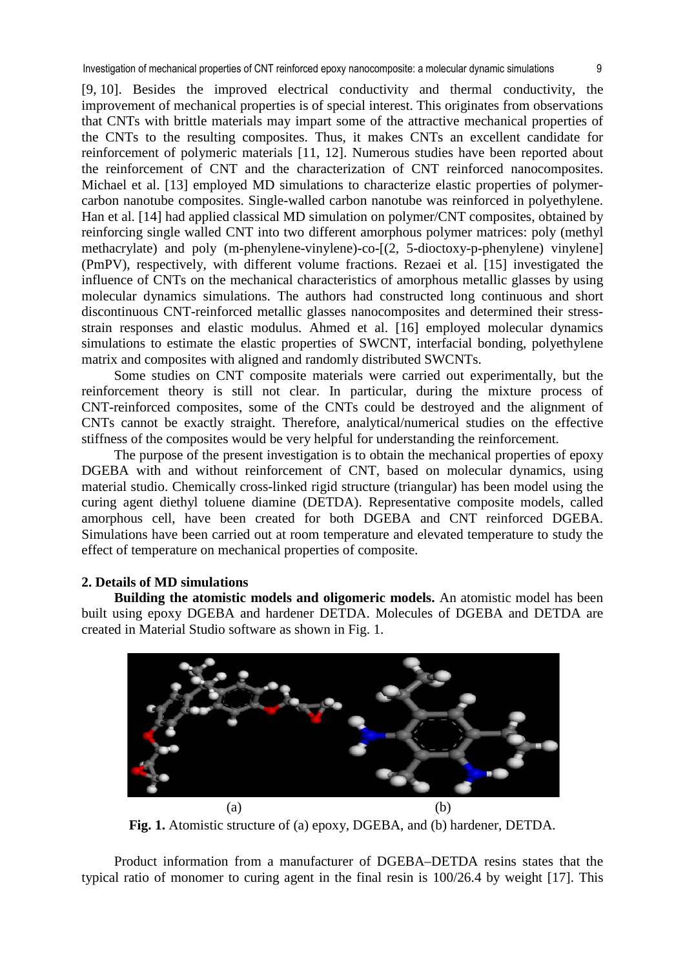[9, 10]. Besides the improved electrical conductivity and thermal conductivity, the improvement of mechanical properties is of special interest. This originates from observations that CNTs with brittle materials may impart some of the attractive mechanical properties of the CNTs to the resulting composites. Thus, it makes CNTs an excellent candidate for reinforcement of polymeric materials [11, 12]. Numerous studies have been reported about the reinforcement of CNT and the characterization of CNT reinforced nanocomposites. Michael et al. [13] employed MD simulations to characterize elastic properties of polymercarbon nanotube composites. Single-walled carbon nanotube was reinforced in polyethylene. Han et al. [14] had applied classical MD simulation on polymer/CNT composites, obtained by reinforcing single walled CNT into two different amorphous polymer matrices: poly (methyl methacrylate) and poly (m-phenylene-vinylene)-co-[(2, 5-dioctoxy-p-phenylene) vinylene] (PmPV), respectively, with different volume fractions. Rezaei et al. [15] investigated the influence of CNTs on the mechanical characteristics of amorphous metallic glasses by using molecular dynamics simulations. The authors had constructed long continuous and short discontinuous CNT-reinforced metallic glasses nanocomposites and determined their stressstrain responses and elastic modulus. Ahmed et al. [16] employed molecular dynamics simulations to estimate the elastic properties of SWCNT, interfacial bonding, polyethylene matrix and composites with aligned and randomly distributed SWCNTs.

Some studies on CNT composite materials were carried out experimentally, but the reinforcement theory is still not clear. In particular, during the mixture process of CNT-reinforced composites, some of the CNTs could be destroyed and the alignment of CNTs cannot be exactly straight. Therefore, analytical/numerical studies on the effective stiffness of the composites would be very helpful for understanding the reinforcement.

The purpose of the present investigation is to obtain the mechanical properties of epoxy DGEBA with and without reinforcement of CNT, based on molecular dynamics, using material studio. Chemically cross-linked rigid structure (triangular) has been model using the curing agent diethyl toluene diamine (DETDA). Representative composite models, called amorphous cell, have been created for both DGEBA and CNT reinforced DGEBA. Simulations have been carried out at room temperature and elevated temperature to study the effect of temperature on mechanical properties of composite.

## **2. Details of MD simulations**

**Building the atomistic models and oligomeric models.** An atomistic model has been built using epoxy DGEBA and hardener DETDA. Molecules of DGEBA and DETDA are created in Material Studio software as shown in Fig. 1.



**Fig. 1.** Atomistic structure of (a) epoxy, DGEBA, and (b) hardener, DETDA.

Product information from a manufacturer of DGEBA–DETDA resins states that the typical ratio of monomer to curing agent in the final resin is 100/26.4 by weight [17]. This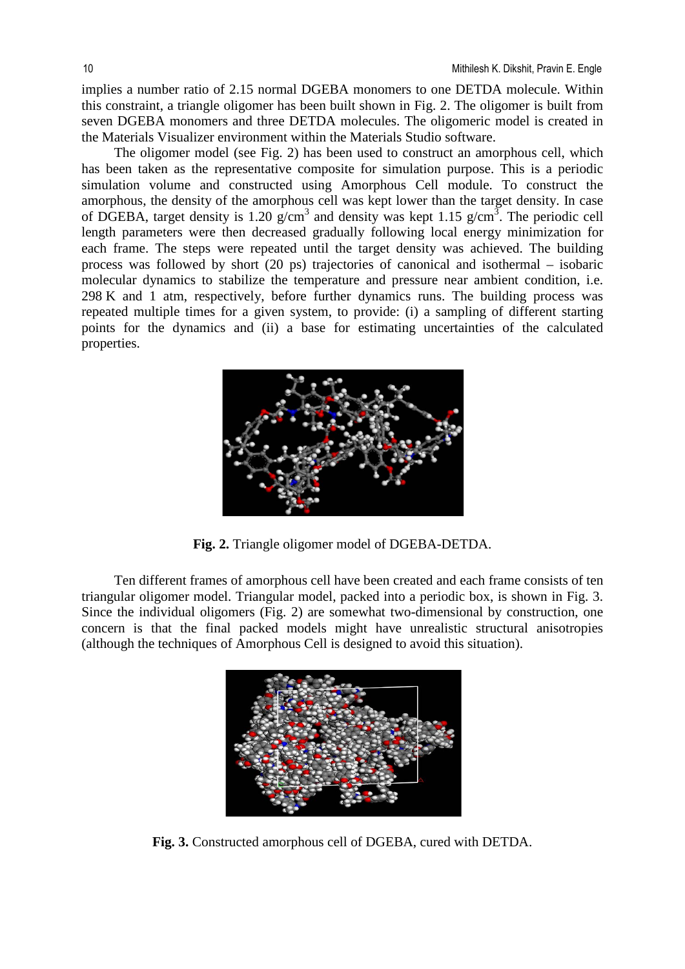implies a number ratio of 2.15 normal DGEBA monomers to one DETDA molecule. Within this constraint, a triangle oligomer has been built shown in Fig. 2. The oligomer is built from seven DGEBA monomers and three DETDA molecules. The oligomeric model is created in the Materials Visualizer environment within the Materials Studio software.

The oligomer model (see Fig. 2) has been used to construct an amorphous cell, which has been taken as the representative composite for simulation purpose. This is a periodic simulation volume and constructed using Amorphous Cell module. To construct the amorphous, the density of the amorphous cell was kept lower than the target density. In case of DGEBA, target density is 1.20  $g/cm<sup>3</sup>$  and density was kept 1.15  $g/cm<sup>3</sup>$ . The periodic cell length parameters were then decreased gradually following local energy minimization for each frame. The steps were repeated until the target density was achieved. The building process was followed by short (20 ps) trajectories of canonical and isothermal – isobaric molecular dynamics to stabilize the temperature and pressure near ambient condition, i.e. 298 K and 1 atm, respectively, before further dynamics runs. The building process was repeated multiple times for a given system, to provide: (i) a sampling of different starting points for the dynamics and (ii) a base for estimating uncertainties of the calculated properties.



**Fig. 2.** Triangle oligomer model of DGEBA-DETDA.

Ten different frames of amorphous cell have been created and each frame consists of ten triangular oligomer model. Triangular model, packed into a periodic box, is shown in Fig. 3. Since the individual oligomers (Fig. 2) are somewhat two-dimensional by construction, one concern is that the final packed models might have unrealistic structural anisotropies (although the techniques of Amorphous Cell is designed to avoid this situation).



**Fig. 3.** Constructed amorphous cell of DGEBA, cured with DETDA.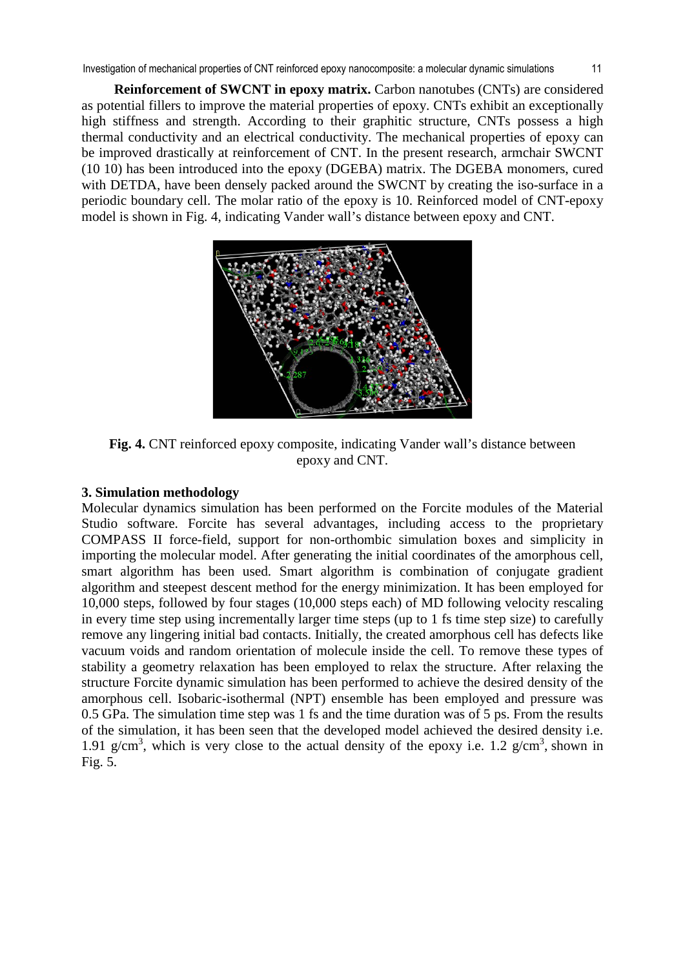**Reinforcement of SWCNT in epoxy matrix.** Carbon nanotubes (CNTs) are considered as potential fillers to improve the material properties of epoxy. CNTs exhibit an exceptionally high stiffness and strength. According to their graphitic structure, CNTs possess a high thermal conductivity and an electrical conductivity. The mechanical properties of epoxy can be improved drastically at reinforcement of CNT. In the present research, armchair SWCNT (10 10) has been introduced into the epoxy (DGEBA) matrix. The DGEBA monomers, cured with DETDA, have been densely packed around the SWCNT by creating the iso-surface in a periodic boundary cell. The molar ratio of the epoxy is 10. Reinforced model of CNT-epoxy model is shown in Fig. 4, indicating Vander wall's distance between epoxy and CNT.



**Fig. 4.** CNT reinforced epoxy composite, indicating Vander wall's distance between epoxy and CNT.

## **3. Simulation methodology**

Molecular dynamics simulation has been performed on the Forcite modules of the Material Studio software. Forcite has several advantages, including access to the proprietary COMPASS II force-field, support for non-orthombic simulation boxes and simplicity in importing the molecular model. After generating the initial coordinates of the amorphous cell, smart algorithm has been used. Smart algorithm is combination of conjugate gradient algorithm and steepest descent method for the energy minimization. It has been employed for 10,000 steps, followed by four stages (10,000 steps each) of MD following velocity rescaling in every time step using incrementally larger time steps (up to 1 fs time step size) to carefully remove any lingering initial bad contacts. Initially, the created amorphous cell has defects like vacuum voids and random orientation of molecule inside the cell. To remove these types of stability a geometry relaxation has been employed to relax the structure. After relaxing the structure Forcite dynamic simulation has been performed to achieve the desired density of the amorphous cell. Isobaric-isothermal (NPT) ensemble has been employed and pressure was 0.5 GPa. The simulation time step was 1 fs and the time duration was of 5 ps. From the results of the simulation, it has been seen that the developed model achieved the desired density i.e. 1.91 g/cm<sup>3</sup>, which is very close to the actual density of the epoxy i.e. 1.2 g/cm<sup>3</sup>, shown in Fig. 5.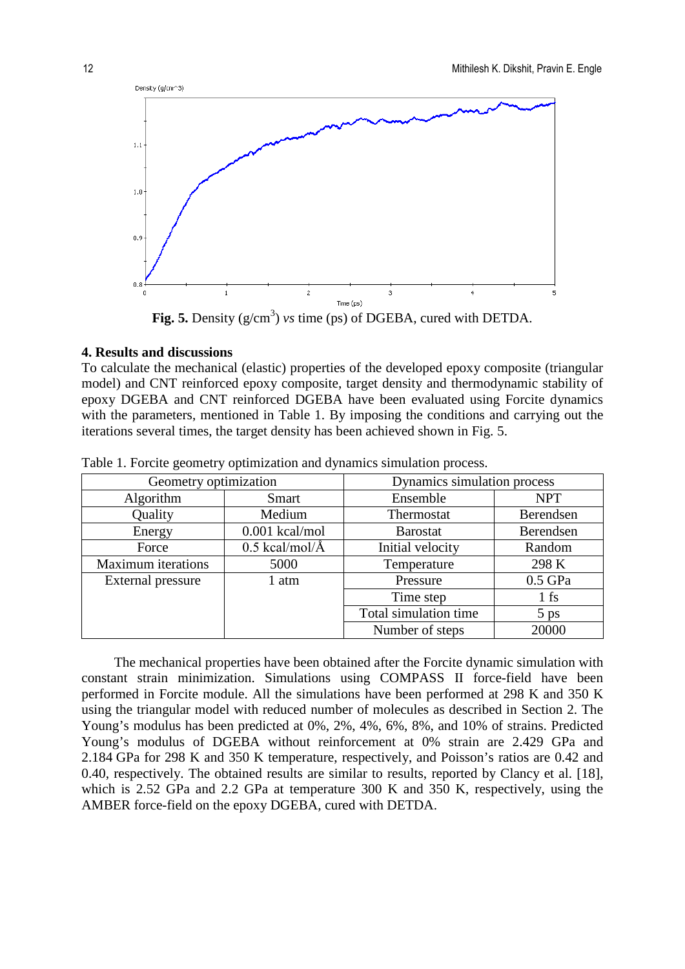

Fig. 5. Density  $(g/cm^3)$  *vs* time (ps) of DGEBA, cured with DETDA.

### **4. Results and discussions**

To calculate the mechanical (elastic) properties of the developed epoxy composite (triangular model) and CNT reinforced epoxy composite, target density and thermodynamic stability of epoxy DGEBA and CNT reinforced DGEBA have been evaluated using Forcite dynamics with the parameters, mentioned in Table 1. By imposing the conditions and carrying out the iterations several times, the target density has been achieved shown in Fig. 5.

| Geometry optimization     |                  | Dynamics simulation process |            |
|---------------------------|------------------|-----------------------------|------------|
| Algorithm                 | <b>Smart</b>     | Ensemble                    | <b>NPT</b> |
| Quality                   | Medium           | Thermostat                  | Berendsen  |
| Energy                    | $0.001$ kcal/mol | <b>Barostat</b>             | Berendsen  |
| Force                     | $0.5$ kcal/mol/Å | Initial velocity            | Random     |
| <b>Maximum</b> iterations | 5000             | Temperature                 | 298 K      |
| External pressure         | 1 atm            | Pressure                    | $0.5$ GPa  |
|                           |                  | Time step                   | $1$ fs     |
|                           |                  | Total simulation time       | $5$ ps     |
|                           |                  | Number of steps             | 20000      |

Table 1. Forcite geometry optimization and dynamics simulation process.

The mechanical properties have been obtained after the Forcite dynamic simulation with constant strain minimization. Simulations using COMPASS II force-field have been performed in Forcite module. All the simulations have been performed at 298 K and 350 K using the triangular model with reduced number of molecules as described in Section 2. The Young's modulus has been predicted at 0%, 2%, 4%, 6%, 8%, and 10% of strains. Predicted Young's modulus of DGEBA without reinforcement at 0% strain are 2.429 GPa and 2.184 GPa for 298 K and 350 K temperature, respectively, and Poisson's ratios are 0.42 and 0.40, respectively. The obtained results are similar to results, reported by Clancy et al. [18], which is 2.52 GPa and 2.2 GPa at temperature 300 K and 350 K, respectively, using the AMBER force-field on the epoxy DGEBA, cured with DETDA.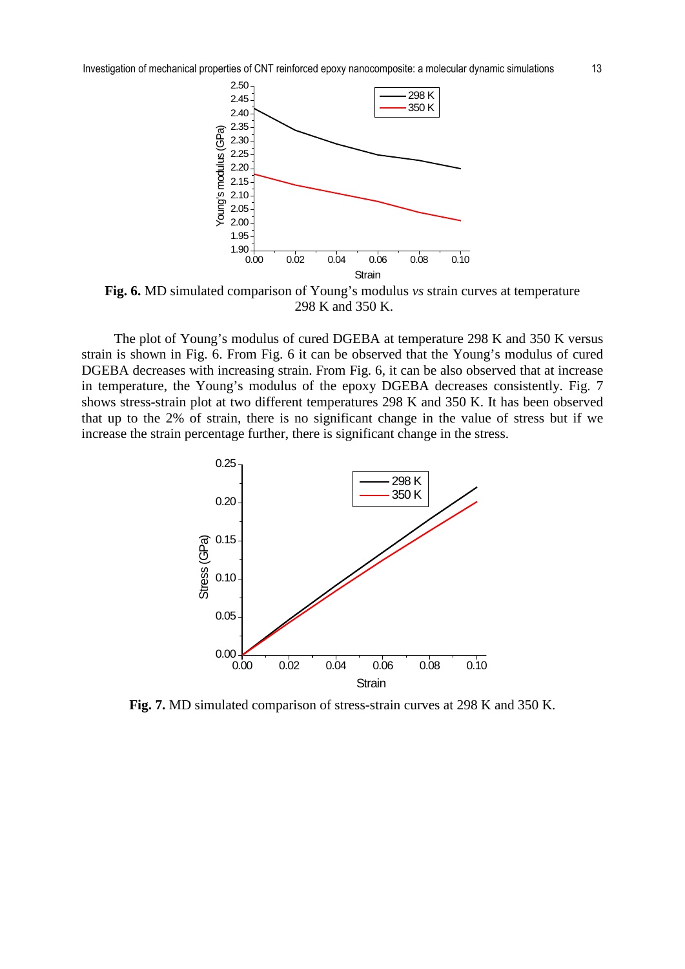Investigation of mechanical properties of CNT reinforced epoxy nanocomposite: a molecular dynamic simulations 13



**Fig. 6.** MD simulated comparison of Young's modulus *vs* strain curves at temperature 298 K and 350 K.

The plot of Young's modulus of cured DGEBA at temperature 298 K and 350 K versus strain is shown in Fig. 6. From Fig. 6 it can be observed that the Young's modulus of cured DGEBA decreases with increasing strain. From Fig. 6, it can be also observed that at increase in temperature, the Young's modulus of the epoxy DGEBA decreases consistently. Fig. 7 shows stress-strain plot at two different temperatures 298 K and 350 K. It has been observed that up to the 2% of strain, there is no significant change in the value of stress but if we increase the strain percentage further, there is significant change in the stress.



**Fig. 7.** MD simulated comparison of stress-strain curves at 298 K and 350 K.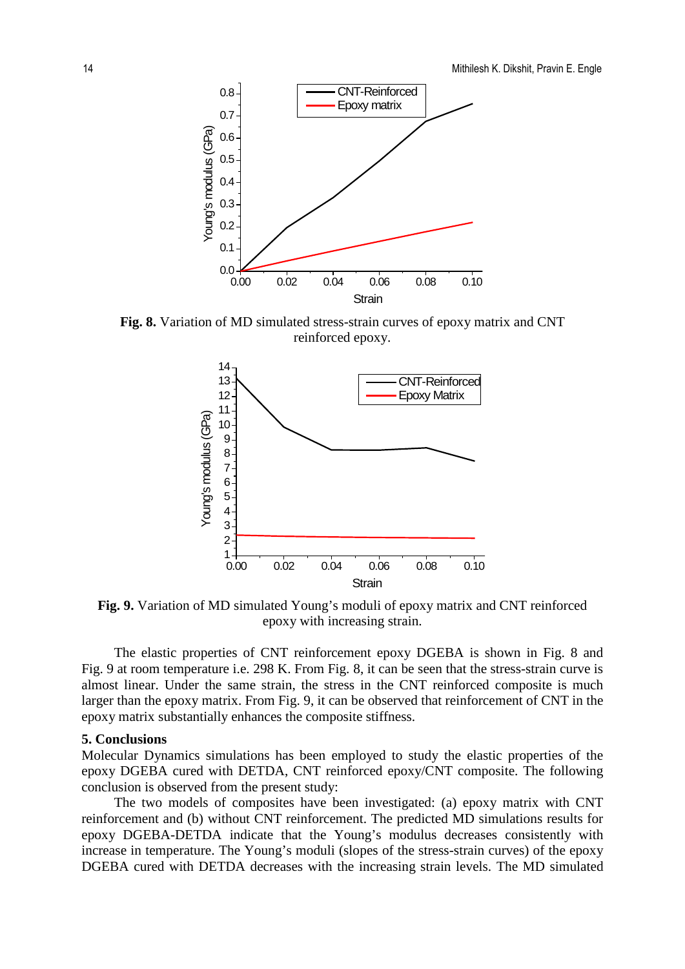

**Fig. 8.** Variation of MD simulated stress-strain curves of epoxy matrix and CNT reinforced epoxy.



**Fig. 9.** Variation of MD simulated Young's moduli of epoxy matrix and CNT reinforced epoxy with increasing strain.

The elastic properties of CNT reinforcement epoxy DGEBA is shown in Fig. 8 and Fig. 9 at room temperature i.e. 298 K. From Fig. 8, it can be seen that the stress-strain curve is almost linear. Under the same strain, the stress in the CNT reinforced composite is much larger than the epoxy matrix. From Fig. 9, it can be observed that reinforcement of CNT in the epoxy matrix substantially enhances the composite stiffness.

#### **5. Conclusions**

Molecular Dynamics simulations has been employed to study the elastic properties of the epoxy DGEBA cured with DETDA, CNT reinforced epoxy/CNT composite. The following conclusion is observed from the present study:

The two models of composites have been investigated: (a) epoxy matrix with CNT reinforcement and (b) without CNT reinforcement. The predicted MD simulations results for epoxy DGEBA-DETDA indicate that the Young's modulus decreases consistently with increase in temperature. The Young's moduli (slopes of the stress-strain curves) of the epoxy DGEBA cured with DETDA decreases with the increasing strain levels. The MD simulated